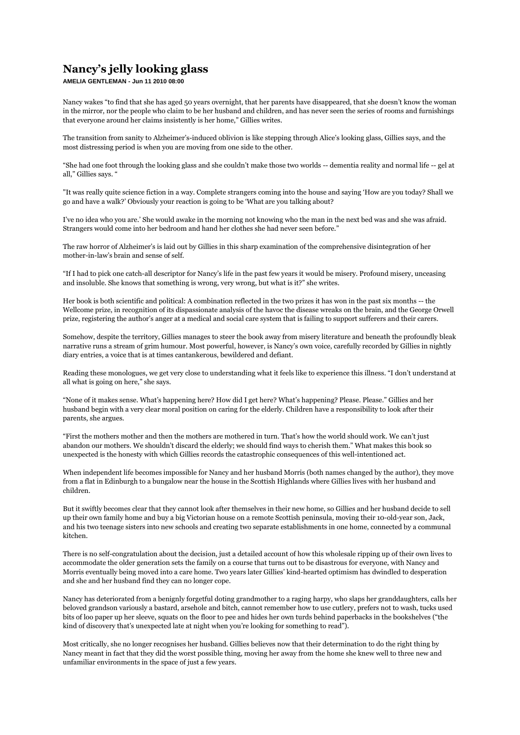## **Nancy's jelly looking glass**

**AMELIA GENTLEMAN - Jun 11 2010 08:00** 

Nancy wakes "to find that she has aged 50 years overnight, that her parents have disappeared, that she doesn"t know the woman in the mirror, nor the people who claim to be her husband and children, and has never seen the series of rooms and furnishings that everyone around her claims insistently is her home," Gillies writes.

The transition from sanity to Alzheimer's-induced oblivion is like stepping through Alice's looking glass, Gillies says, and the most distressing period is when you are moving from one side to the other.

"She had one foot through the looking glass and she couldn"t make those two worlds -- dementia reality and normal life -- gel at all," Gillies says. "

"It was really quite science fiction in a way. Complete strangers coming into the house and saying "How are you today? Shall we go and have a walk?" Obviously your reaction is going to be "What are you talking about?

I"ve no idea who you are." She would awake in the morning not knowing who the man in the next bed was and she was afraid. Strangers would come into her bedroom and hand her clothes she had never seen before."

The raw horror of Alzheimer"s is laid out by Gillies in this sharp examination of the comprehensive disintegration of her mother-in-law"s brain and sense of self.

"If I had to pick one catch-all descriptor for Nancy"s life in the past few years it would be misery. Profound misery, unceasing and insoluble. She knows that something is wrong, very wrong, but what is it?" she writes.

Her book is both scientific and political: A combination reflected in the two prizes it has won in the past six months -- the Wellcome prize, in recognition of its dispassionate analysis of the havoc the disease wreaks on the brain, and the George Orwell prize, registering the author"s anger at a medical and social care system that is failing to support sufferers and their carers.

Somehow, despite the territory, Gillies manages to steer the book away from misery literature and beneath the profoundly bleak narrative runs a stream of grim humour. Most powerful, however, is Nancy"s own voice, carefully recorded by Gillies in nightly diary entries, a voice that is at times cantankerous, bewildered and defiant.

Reading these monologues, we get very close to understanding what it feels like to experience this illness. "I don"t understand at all what is going on here," she says.

"None of it makes sense. What"s happening here? How did I get here? What"s happening? Please. Please." Gillies and her husband begin with a very clear moral position on caring for the elderly. Children have a responsibility to look after their parents, she argues.

"First the mothers mother and then the mothers are mothered in turn. That"s how the world should work. We can"t just abandon our mothers. We shouldn"t discard the elderly; we should find ways to cherish them." What makes this book so unexpected is the honesty with which Gillies records the catastrophic consequences of this well-intentioned act.

When independent life becomes impossible for Nancy and her husband Morris (both names changed by the author), they move from a flat in Edinburgh to a bungalow near the house in the Scottish Highlands where Gillies lives with her husband and children.

But it swiftly becomes clear that they cannot look after themselves in their new home, so Gillies and her husband decide to sell up their own family home and buy a big Victorian house on a remote Scottish peninsula, moving their 10-old-year son, Jack, and his two teenage sisters into new schools and creating two separate establishments in one home, connected by a communal kitchen.

There is no self-congratulation about the decision, just a detailed account of how this wholesale ripping up of their own lives to accommodate the older generation sets the family on a course that turns out to be disastrous for everyone, with Nancy and Morris eventually being moved into a care home. Two years later Gillies" kind-hearted optimism has dwindled to desperation and she and her husband find they can no longer cope.

Nancy has deteriorated from a benignly forgetful doting grandmother to a raging harpy, who slaps her granddaughters, calls her beloved grandson variously a bastard, arsehole and bitch, cannot remember how to use cutlery, prefers not to wash, tucks used bits of loo paper up her sleeve, squats on the floor to pee and hides her own turds behind paperbacks in the bookshelves ("the kind of discovery that's unexpected late at night when you're looking for something to read").

Most critically, she no longer recognises her husband. Gillies believes now that their determination to do the right thing by Nancy meant in fact that they did the worst possible thing, moving her away from the home she knew well to three new and unfamiliar environments in the space of just a few years.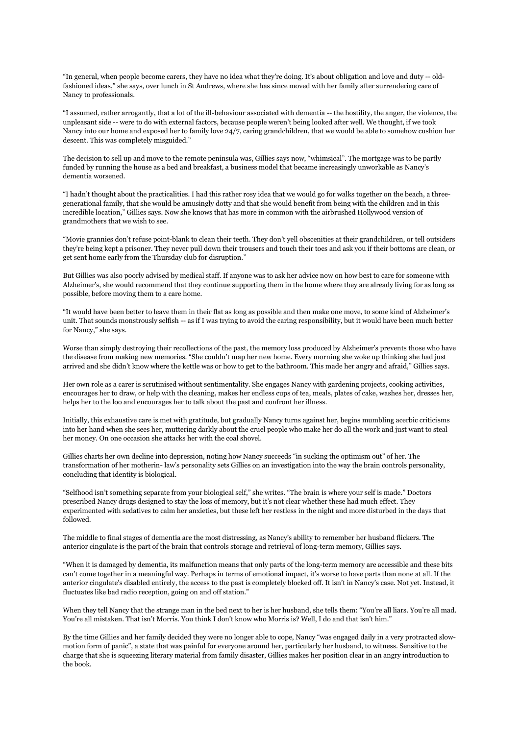"In general, when people become carers, they have no idea what they're doing. It's about obligation and love and duty -- oldfashioned ideas," she says, over lunch in St Andrews, where she has since moved with her family after surrendering care of Nancy to professionals.

"I assumed, rather arrogantly, that a lot of the ill-behaviour associated with dementia -- the hostility, the anger, the violence, the unpleasant side -- were to do with external factors, because people weren"t being looked after well. We thought, if we took Nancy into our home and exposed her to family love 24/7, caring grandchildren, that we would be able to somehow cushion her descent. This was completely misguided."

The decision to sell up and move to the remote peninsula was, Gillies says now, "whimsical". The mortgage was to be partly funded by running the house as a bed and breakfast, a business model that became increasingly unworkable as Nancy's dementia worsened.

"I hadn"t thought about the practicalities. I had this rather rosy idea that we would go for walks together on the beach, a threegenerational family, that she would be amusingly dotty and that she would benefit from being with the children and in this incredible location," Gillies says. Now she knows that has more in common with the airbrushed Hollywood version of grandmothers that we wish to see.

"Movie grannies don"t refuse point-blank to clean their teeth. They don"t yell obscenities at their grandchildren, or tell outsiders they"re being kept a prisoner. They never pull down their trousers and touch their toes and ask you if their bottoms are clean, or get sent home early from the Thursday club for disruption."

But Gillies was also poorly advised by medical staff. If anyone was to ask her advice now on how best to care for someone with Alzheimer"s, she would recommend that they continue supporting them in the home where they are already living for as long as possible, before moving them to a care home.

"It would have been better to leave them in their flat as long as possible and then make one move, to some kind of Alzheimer"s unit. That sounds monstrously selfish -- as if I was trying to avoid the caring responsibility, but it would have been much better for Nancy," she says.

Worse than simply destroying their recollections of the past, the memory loss produced by Alzheimer"s prevents those who have the disease from making new memories. "She couldn"t map her new home. Every morning she woke up thinking she had just arrived and she didn"t know where the kettle was or how to get to the bathroom. This made her angry and afraid," Gillies says.

Her own role as a carer is scrutinised without sentimentality. She engages Nancy with gardening projects, cooking activities, encourages her to draw, or help with the cleaning, makes her endless cups of tea, meals, plates of cake, washes her, dresses her, helps her to the loo and encourages her to talk about the past and confront her illness.

Initially, this exhaustive care is met with gratitude, but gradually Nancy turns against her, begins mumbling acerbic criticisms into her hand when she sees her, muttering darkly about the cruel people who make her do all the work and just want to steal her money. On one occasion she attacks her with the coal shovel.

Gillies charts her own decline into depression, noting how Nancy succeeds "in sucking the optimism out" of her. The transformation of her motherin- law"s personality sets Gillies on an investigation into the way the brain controls personality, concluding that identity is biological.

"Selfhood isn"t something separate from your biological self," she writes. "The brain is where your self is made." Doctors prescribed Nancy drugs designed to stay the loss of memory, but it's not clear whether these had much effect. They experimented with sedatives to calm her anxieties, but these left her restless in the night and more disturbed in the days that followed.

The middle to final stages of dementia are the most distressing, as Nancy"s ability to remember her husband flickers. The anterior cingulate is the part of the brain that controls storage and retrieval of long-term memory, Gillies says.

"When it is damaged by dementia, its malfunction means that only parts of the long-term memory are accessible and these bits can"t come together in a meaningful way. Perhaps in terms of emotional impact, it"s worse to have parts than none at all. If the anterior cingulate"s disabled entirely, the access to the past is completely blocked off. It isn"t in Nancy"s case. Not yet. Instead, it fluctuates like bad radio reception, going on and off station."

When they tell Nancy that the strange man in the bed next to her is her husband, she tells them: "You"re all liars. You"re all mad. You're all mistaken. That isn't Morris. You think I don't know who Morris is? Well, I do and that isn't him."

By the time Gillies and her family decided they were no longer able to cope, Nancy "was engaged daily in a very protracted slowmotion form of panic", a state that was painful for everyone around her, particularly her husband, to witness. Sensitive to the charge that she is squeezing literary material from family disaster, Gillies makes her position clear in an angry introduction to the book.